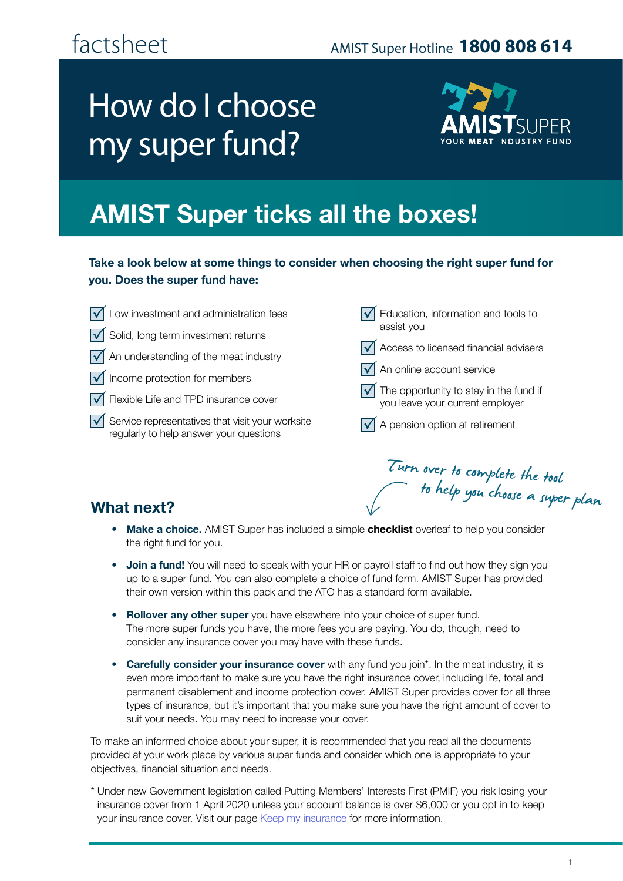### AMIST Super Hotline **1800 808 614**

# How do I choose my super fund?



## **AMIST Super ticks all the boxes!**

#### **Take a look below at some things to consider when choosing the right super fund for you. Does the super fund have:**

- Low investment and administration fees
- $\sqrt{\phantom{a}}$  Solid, long term investment returns
- An understanding of the meat industry  $\overline{\vee}$
- Income protection for members  $\mathsf{I}\mathsf{V}$
- Flexible Life and TPD insurance cover
- $\overline{\mathcal{A}}$ Service representatives that visit your worksite regularly to help answer your questions

 $\sqrt{\phantom{a}}$  Education, information and tools to assist you

- $\sqrt{\phantom{a}}$  Access to licensed financial advisers
- $\sqrt{\phantom{a}}$  An online account service
- $\sqrt{\phantom{a}}$  The opportunity to stay in the fund if you leave your current employer

Turn over to complete the tool

to help you choose a super plan

 $\sqrt{\phantom{a}}$  A pension option at retirement

#### **What next?**

- **Make a choice.** AMIST Super has included a simple **checklist** overleaf to help you consider the right fund for you.
- **Join a fund!** You will need to speak with your HR or payroll staff to find out how they sign you up to a super fund. You can also complete a choice of fund form. AMIST Super has provided their own version within this pack and the ATO has a standard form available.
- **Rollover any other super** you have elsewhere into your choice of super fund. The more super funds you have, the more fees you are paying. You do, though, need to consider any insurance cover you may have with these funds.
- **Carefully consider your insurance cover** with any fund you join\*. In the meat industry, it is even more important to make sure you have the right insurance cover, including life, total and permanent disablement and income protection cover. AMIST Super provides cover for all three types of insurance, but it's important that you make sure you have the right amount of cover to suit your needs. You may need to increase your cover.

To make an informed choice about your super, it is recommended that you read all the documents provided at your work place by various super funds and consider which one is appropriate to your objectives, financial situation and needs.

\* Under new Government legislation called Putting Members' Interests First (PMIF) you risk losing your insurance cover from 1 April 2020 unless your account balance is over \$6,000 or you opt in to keep your insurance cover. Visit our page [Keep my insurance](https://www.amist.com.au/keepinsurance-details/) for more information.